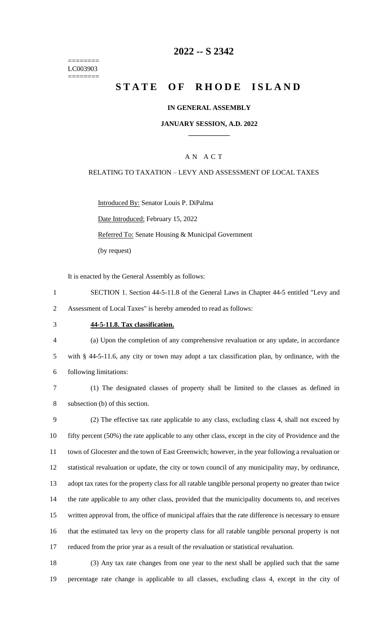======== LC003903 ========

## **2022 -- S 2342**

# **STATE OF RHODE ISLAND**

#### **IN GENERAL ASSEMBLY**

#### **JANUARY SESSION, A.D. 2022 \_\_\_\_\_\_\_\_\_\_\_\_**

### A N A C T

#### RELATING TO TAXATION – LEVY AND ASSESSMENT OF LOCAL TAXES

Introduced By: Senator Louis P. DiPalma

Date Introduced: February 15, 2022

Referred To: Senate Housing & Municipal Government

(by request)

It is enacted by the General Assembly as follows:

- 1 SECTION 1. Section 44-5-11.8 of the General Laws in Chapter 44-5 entitled "Levy and 2 Assessment of Local Taxes" is hereby amended to read as follows:
- 3 **44-5-11.8. Tax classification.**

4 (a) Upon the completion of any comprehensive revaluation or any update, in accordance 5 with § 44-5-11.6, any city or town may adopt a tax classification plan, by ordinance, with the 6 following limitations:

7 (1) The designated classes of property shall be limited to the classes as defined in 8 subsection (b) of this section.

 (2) The effective tax rate applicable to any class, excluding class 4, shall not exceed by fifty percent (50%) the rate applicable to any other class, except in the city of Providence and the town of Glocester and the town of East Greenwich; however, in the year following a revaluation or statistical revaluation or update, the city or town council of any municipality may, by ordinance, adopt tax rates for the property class for all ratable tangible personal property no greater than twice the rate applicable to any other class, provided that the municipality documents to, and receives written approval from, the office of municipal affairs that the rate difference is necessary to ensure that the estimated tax levy on the property class for all ratable tangible personal property is not reduced from the prior year as a result of the revaluation or statistical revaluation.

18 (3) Any tax rate changes from one year to the next shall be applied such that the same 19 percentage rate change is applicable to all classes, excluding class 4, except in the city of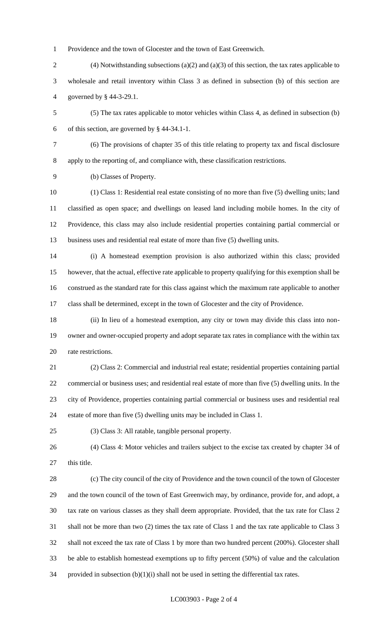Providence and the town of Glocester and the town of East Greenwich.

- (4) Notwithstanding subsections (a)(2) and (a)(3) of this section, the tax rates applicable to wholesale and retail inventory within Class 3 as defined in subsection (b) of this section are governed by § 44-3-29.1.
- (5) The tax rates applicable to motor vehicles within Class 4, as defined in subsection (b) of this section, are governed by § 44-34.1-1.
- 

 (6) The provisions of chapter 35 of this title relating to property tax and fiscal disclosure apply to the reporting of, and compliance with, these classification restrictions.

(b) Classes of Property.

 (1) Class 1: Residential real estate consisting of no more than five (5) dwelling units; land classified as open space; and dwellings on leased land including mobile homes. In the city of Providence, this class may also include residential properties containing partial commercial or business uses and residential real estate of more than five (5) dwelling units.

 (i) A homestead exemption provision is also authorized within this class; provided however, that the actual, effective rate applicable to property qualifying for this exemption shall be construed as the standard rate for this class against which the maximum rate applicable to another class shall be determined, except in the town of Glocester and the city of Providence.

 (ii) In lieu of a homestead exemption, any city or town may divide this class into non- owner and owner-occupied property and adopt separate tax rates in compliance with the within tax rate restrictions.

 (2) Class 2: Commercial and industrial real estate; residential properties containing partial commercial or business uses; and residential real estate of more than five (5) dwelling units. In the city of Providence, properties containing partial commercial or business uses and residential real estate of more than five (5) dwelling units may be included in Class 1.

(3) Class 3: All ratable, tangible personal property.

 (4) Class 4: Motor vehicles and trailers subject to the excise tax created by chapter 34 of 27 this title.

 (c) The city council of the city of Providence and the town council of the town of Glocester and the town council of the town of East Greenwich may, by ordinance, provide for, and adopt, a tax rate on various classes as they shall deem appropriate. Provided, that the tax rate for Class 2 shall not be more than two (2) times the tax rate of Class 1 and the tax rate applicable to Class 3 shall not exceed the tax rate of Class 1 by more than two hundred percent (200%). Glocester shall be able to establish homestead exemptions up to fifty percent (50%) of value and the calculation 34 provided in subsection  $(b)(1)(i)$  shall not be used in setting the differential tax rates.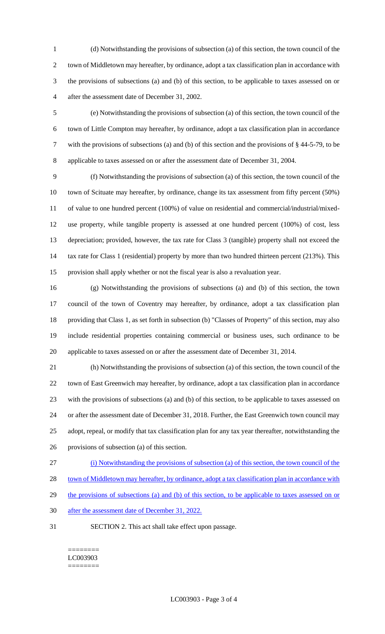(d) Notwithstanding the provisions of subsection (a) of this section, the town council of the town of Middletown may hereafter, by ordinance, adopt a tax classification plan in accordance with the provisions of subsections (a) and (b) of this section, to be applicable to taxes assessed on or after the assessment date of December 31, 2002.

 (e) Notwithstanding the provisions of subsection (a) of this section, the town council of the town of Little Compton may hereafter, by ordinance, adopt a tax classification plan in accordance with the provisions of subsections (a) and (b) of this section and the provisions of § 44-5-79, to be applicable to taxes assessed on or after the assessment date of December 31, 2004.

 (f) Notwithstanding the provisions of subsection (a) of this section, the town council of the town of Scituate may hereafter, by ordinance, change its tax assessment from fifty percent (50%) of value to one hundred percent (100%) of value on residential and commercial/industrial/mixed- use property, while tangible property is assessed at one hundred percent (100%) of cost, less depreciation; provided, however, the tax rate for Class 3 (tangible) property shall not exceed the 14 tax rate for Class 1 (residential) property by more than two hundred thirteen percent (213%). This provision shall apply whether or not the fiscal year is also a revaluation year.

 (g) Notwithstanding the provisions of subsections (a) and (b) of this section, the town council of the town of Coventry may hereafter, by ordinance, adopt a tax classification plan providing that Class 1, as set forth in subsection (b) "Classes of Property" of this section, may also include residential properties containing commercial or business uses, such ordinance to be applicable to taxes assessed on or after the assessment date of December 31, 2014.

 (h) Notwithstanding the provisions of subsection (a) of this section, the town council of the town of East Greenwich may hereafter, by ordinance, adopt a tax classification plan in accordance with the provisions of subsections (a) and (b) of this section, to be applicable to taxes assessed on or after the assessment date of December 31, 2018. Further, the East Greenwich town council may adopt, repeal, or modify that tax classification plan for any tax year thereafter, notwithstanding the provisions of subsection (a) of this section.

(i) Notwithstanding the provisions of subsection (a) of this section, the town council of the

28 town of Middletown may hereafter, by ordinance, adopt a tax classification plan in accordance with

29 the provisions of subsections (a) and (b) of this section, to be applicable to taxes assessed on or

- after the assessment date of December 31, 2022.
- SECTION 2. This act shall take effect upon passage.

======== LC003903 ========